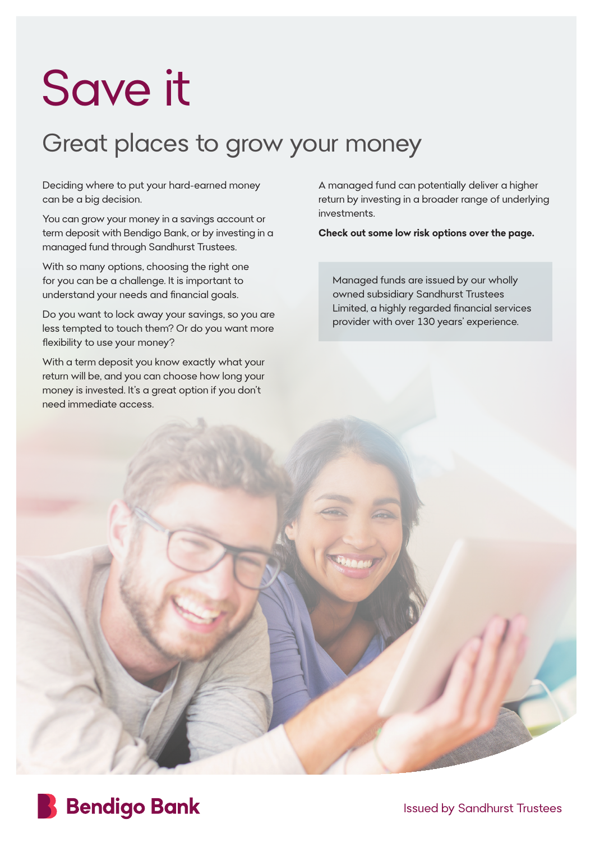## Save it

## Great places to grow your money

Deciding where to put your hard-earned money can be a big decision.

You can grow your money in a savings account or term deposit with Bendigo Bank, or by investing in a managed fund through Sandhurst Trustees.

With so many options, choosing the right one for you can be a challenge. It is important to understand your needs and financial goals.

Do you want to lock away your savings, so you are less tempted to touch them? Or do you want more flexibility to use your money?

With a term deposit you know exactly what your return will be, and you can choose how long your money is invested. It's a great option if you don't need immediate access.

A managed fund can potentially deliver a higher return by investing in a broader range of underlying investments.

**Check out some low risk options over the page.** 

Managed funds are issued by our wholly owned subsidiary Sandhurst Trustees Limited, a highly regarded financial services provider with over 130 years' experience.